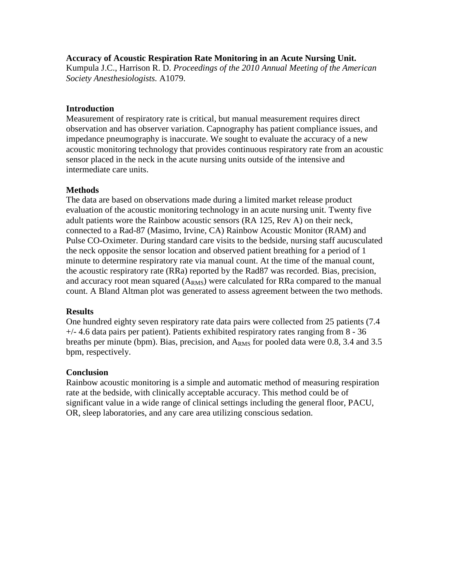### **Accuracy of Acoustic Respiration Rate Monitoring in an Acute Nursing Unit.**

Kumpula J.C., Harrison R. D. *Proceedings of the 2010 Annual Meeting of the American Society Anesthesiologists.* A1079.

## **Introduction**

Measurement of respiratory rate is critical, but manual measurement requires direct observation and has observer variation. Capnography has patient compliance issues, and impedance pneumography is inaccurate. We sought to evaluate the accuracy of a new acoustic monitoring technology that provides continuous respiratory rate from an acoustic sensor placed in the neck in the acute nursing units outside of the intensive and intermediate care units.

## **Methods**

The data are based on observations made during a limited market release product evaluation of the acoustic monitoring technology in an acute nursing unit. Twenty five adult patients wore the Rainbow acoustic sensors (RA 125, Rev A) on their neck, connected to a Rad-87 (Masimo, Irvine, CA) Rainbow Acoustic Monitor (RAM) and Pulse CO-Oximeter. During standard care visits to the bedside, nursing staff aucusculated the neck opposite the sensor location and observed patient breathing for a period of 1 minute to determine respiratory rate via manual count. At the time of the manual count, the acoustic respiratory rate (RRa) reported by the Rad87 was recorded. Bias, precision, and accuracy root mean squared  $(A<sub>RMS</sub>)$  were calculated for RRa compared to the manual count. A Bland Altman plot was generated to assess agreement between the two methods.

# **Results**

One hundred eighty seven respiratory rate data pairs were collected from 25 patients (7.4  $+/-$  4.6 data pairs per patient). Patients exhibited respiratory rates ranging from 8 - 36 breaths per minute (bpm). Bias, precision, and  $A<sub>RMS</sub>$  for pooled data were 0.8, 3.4 and 3.5 bpm, respectively.

### **Conclusion**

Rainbow acoustic monitoring is a simple and automatic method of measuring respiration rate at the bedside, with clinically acceptable accuracy. This method could be of significant value in a wide range of clinical settings including the general floor, PACU, OR, sleep laboratories, and any care area utilizing conscious sedation.